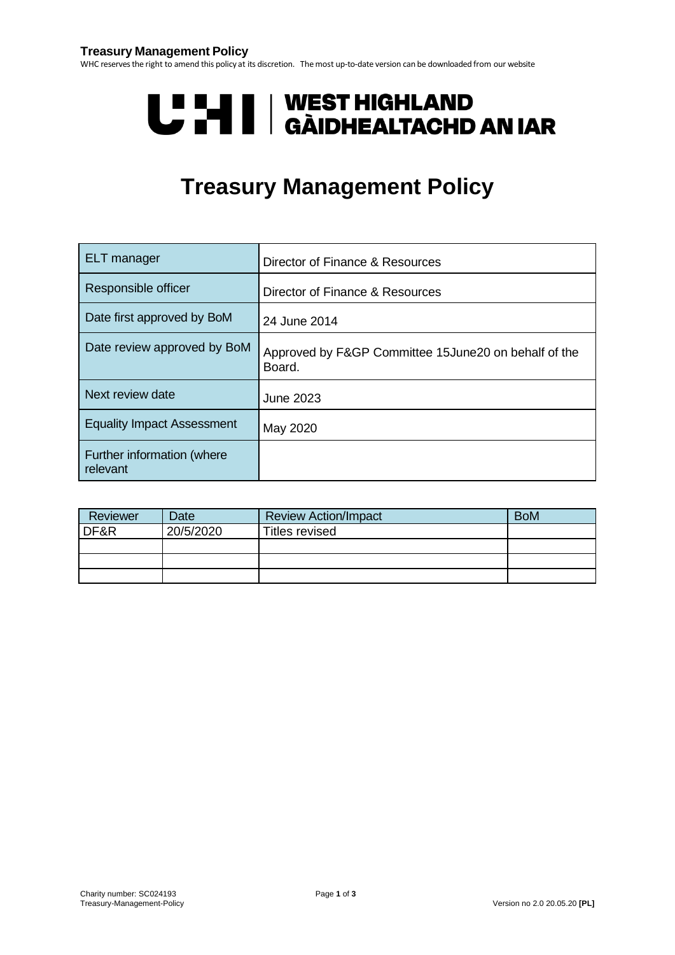#### **Treasury Management Policy**

WHC reservesthe right to amend this policy at its discretion. Themost up-to-date version can be downloaded from our website

# U LI | WEST HIGHLAND<br>U LI | GÀIDHEALTACHD AN IAR

# **Treasury Management Policy**

| ELT manager                            | Director of Finance & Resources                                |
|----------------------------------------|----------------------------------------------------------------|
| Responsible officer                    | Director of Finance & Resources                                |
| Date first approved by BoM             | 24 June 2014                                                   |
| Date review approved by BoM            | Approved by F&GP Committee 15June20 on behalf of the<br>Board. |
| Next review date                       | June 2023                                                      |
| <b>Equality Impact Assessment</b>      | May 2020                                                       |
| Further information (where<br>relevant |                                                                |

| Reviewer | Date.     | <b>Review Action/Impact</b> | <b>BoM</b> |
|----------|-----------|-----------------------------|------------|
| DF&R     | 20/5/2020 | Titles revised              |            |
|          |           |                             |            |
|          |           |                             |            |
|          |           |                             |            |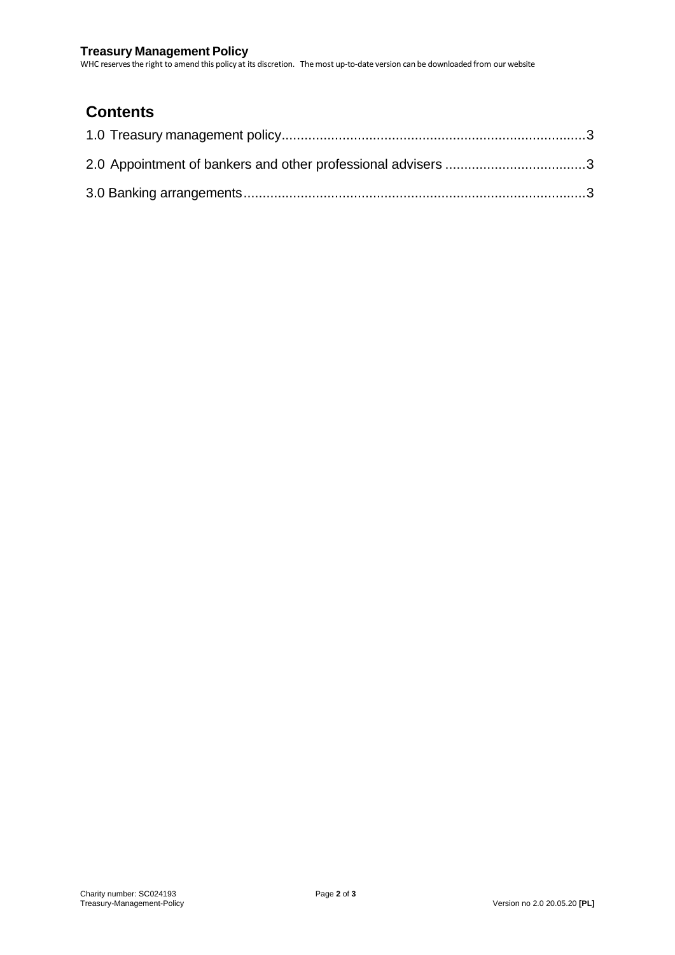#### **Treasury Management Policy**

WHC reservesthe right to amend this policy at its discretion. Themost up-to-date version can be downloaded from our website

# **Contents**